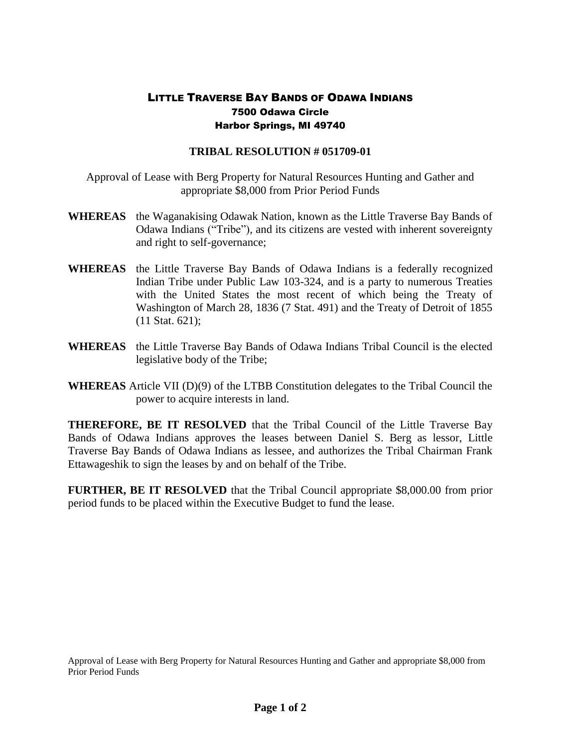## LITTLE TRAVERSE BAY BANDS OF ODAWA INDIANS 7500 Odawa Circle Harbor Springs, MI 49740

## **TRIBAL RESOLUTION # 051709-01**

Approval of Lease with Berg Property for Natural Resources Hunting and Gather and appropriate \$8,000 from Prior Period Funds

- **WHEREAS** the Waganakising Odawak Nation, known as the Little Traverse Bay Bands of Odawa Indians ("Tribe"), and its citizens are vested with inherent sovereignty and right to self-governance;
- **WHEREAS** the Little Traverse Bay Bands of Odawa Indians is a federally recognized Indian Tribe under Public Law 103-324, and is a party to numerous Treaties with the United States the most recent of which being the Treaty of Washington of March 28, 1836 (7 Stat. 491) and the Treaty of Detroit of 1855 (11 Stat. 621);
- **WHEREAS** the Little Traverse Bay Bands of Odawa Indians Tribal Council is the elected legislative body of the Tribe;
- **WHEREAS** Article VII (D)(9) of the LTBB Constitution delegates to the Tribal Council the power to acquire interests in land.

**THEREFORE, BE IT RESOLVED** that the Tribal Council of the Little Traverse Bay Bands of Odawa Indians approves the leases between Daniel S. Berg as lessor, Little Traverse Bay Bands of Odawa Indians as lessee, and authorizes the Tribal Chairman Frank Ettawageshik to sign the leases by and on behalf of the Tribe.

**FURTHER, BE IT RESOLVED** that the Tribal Council appropriate \$8,000.00 from prior period funds to be placed within the Executive Budget to fund the lease.

Approval of Lease with Berg Property for Natural Resources Hunting and Gather and appropriate \$8,000 from Prior Period Funds